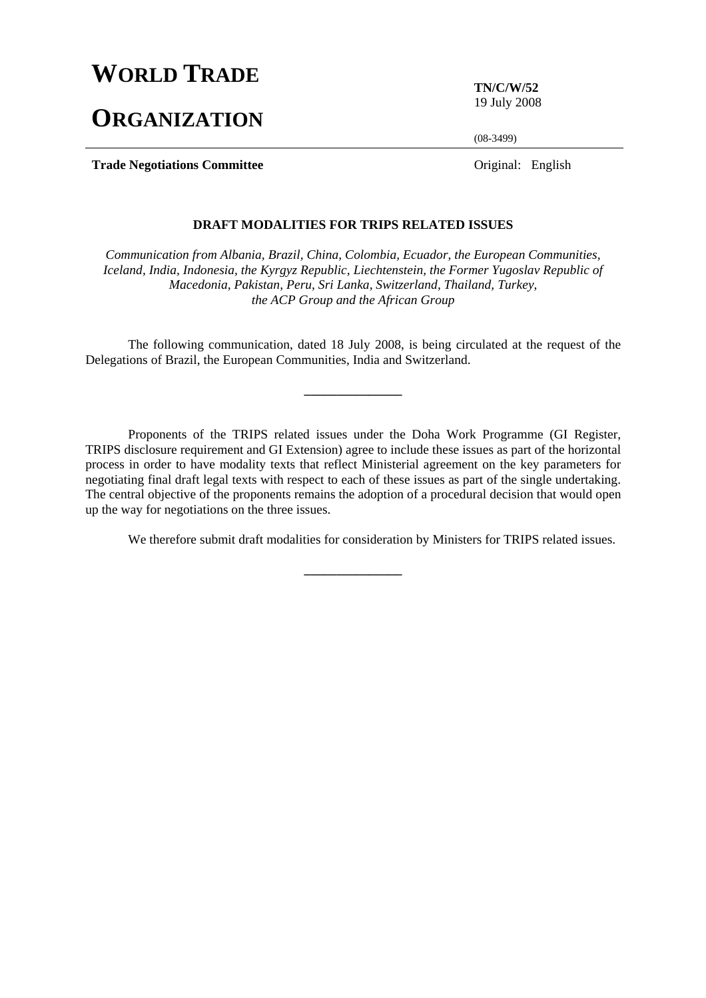## **WORLD TRADE**

# **ORGANIZATION**

**TN/C/W/52**  19 July 2008

(08-3499)

**Trade Negotiations Committee Original:** English

## **DRAFT MODALITIES FOR TRIPS RELATED ISSUES**

*Communication from Albania, Brazil, China, Colombia, Ecuador, the European Communities, Iceland, India, Indonesia, the Kyrgyz Republic, Liechtenstein, the Former Yugoslav Republic of Macedonia, Pakistan, Peru, Sri Lanka, Switzerland, Thailand, Turkey, the ACP Group and the African Group* 

 The following communication, dated 18 July 2008, is being circulated at the request of the Delegations of Brazil, the European Communities, India and Switzerland.

**\_\_\_\_\_\_\_\_\_\_\_\_\_\_\_** 

 Proponents of the TRIPS related issues under the Doha Work Programme (GI Register, TRIPS disclosure requirement and GI Extension) agree to include these issues as part of the horizontal process in order to have modality texts that reflect Ministerial agreement on the key parameters for negotiating final draft legal texts with respect to each of these issues as part of the single undertaking. The central objective of the proponents remains the adoption of a procedural decision that would open up the way for negotiations on the three issues.

**\_\_\_\_\_\_\_\_\_\_\_\_\_\_\_** 

We therefore submit draft modalities for consideration by Ministers for TRIPS related issues.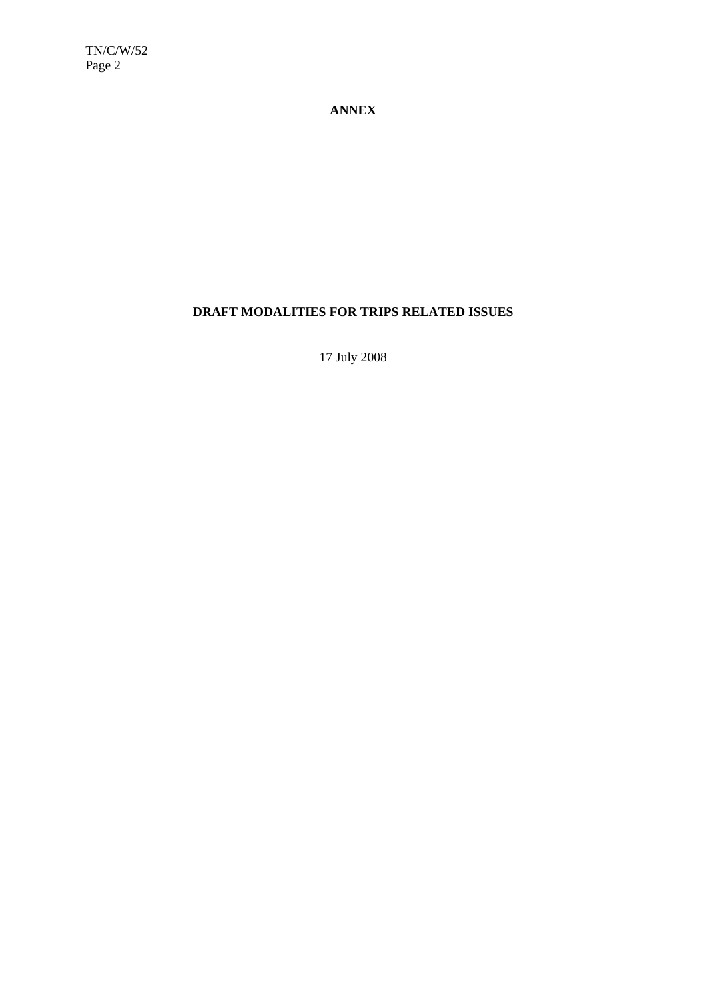TN/C/W/52 Page 2

## **ANNEX**

## **DRAFT MODALITIES FOR TRIPS RELATED ISSUES**

17 July 2008